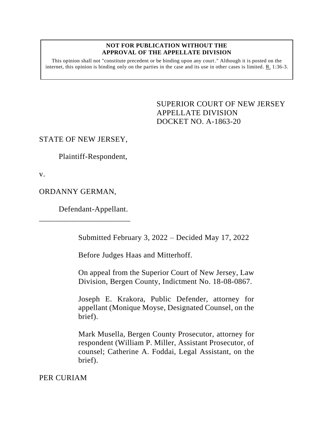## **NOT FOR PUBLICATION WITHOUT THE APPROVAL OF THE APPELLATE DIVISION**

This opinion shall not "constitute precedent or be binding upon any court." Although it is posted on the internet, this opinion is binding only on the parties in the case and its use in other cases is limited. R. 1:36-3.

> <span id="page-0-0"></span>SUPERIOR COURT OF NEW JERSEY APPELLATE DIVISION DOCKET NO. A-1863-20

## STATE OF NEW JERSEY,

Plaintiff-Respondent,

v.

ORDANNY GERMAN,

Defendant-Appellant.

\_\_\_\_\_\_\_\_\_\_\_\_\_\_\_\_\_\_\_\_\_\_\_

Submitted February 3, 2022 – Decided May 17, 2022

Before Judges Haas and Mitterhoff.

On appeal from the Superior Court of New Jersey, Law Division, Bergen County, Indictment No. 18-08-0867.

Joseph E. Krakora, Public Defender, attorney for appellant (Monique Moyse, Designated Counsel, on the brief).

Mark Musella, Bergen County Prosecutor, attorney for respondent (William P. Miller, Assistant Prosecutor, of counsel; Catherine A. Foddai, Legal Assistant, on the brief).

PER CURIAM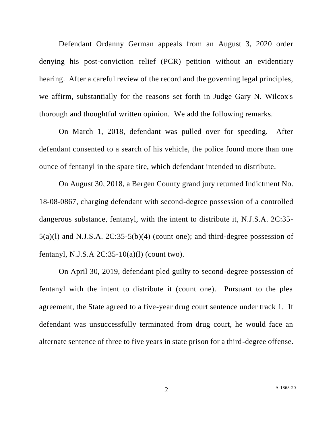Defendant Ordanny German appeals from an August 3, 2020 order denying his post-conviction relief (PCR) petition without an evidentiary hearing. After a careful review of the record and the governing legal principles, we affirm, substantially for the reasons set forth in Judge Gary N. Wilcox's thorough and thoughtful written opinion. We add the following remarks.

On March 1, 2018, defendant was pulled over for speeding. After defendant consented to a search of his vehicle, the police found more than one ounce of fentanyl in the spare tire, which defendant intended to distribute.

On August 30, 2018, a Bergen County grand jury returned Indictment No. 18-08-0867, charging defendant with second-degree possession of a controlled dangerous substance, fentanyl, with the intent to distribute it, N.J.S.A. 2C:35- 5(a)(l) and N.J.S.A. 2C:35-5(b)(4) (count one); and third-degree possession of fentanyl, N.J.S.A  $2C:35-10(a)(1)$  (count two).

On April 30, 2019, defendant pled guilty to second-degree possession of fentanyl with the intent to distribute it (count one). Pursuant to the plea agreement, the State agreed to a five-year drug court sentence under track 1. If defendant was unsuccessfully terminated from drug court, he would face an alternate sentence of three to five years in state prison for a third-degree offense.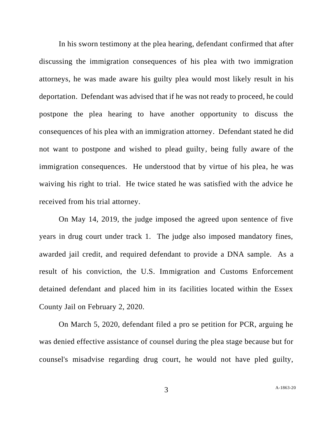In his sworn testimony at the plea hearing, defendant confirmed that after discussing the immigration consequences of his plea with two immigration attorneys, he was made aware his guilty plea would most likely result in his deportation. Defendant was advised that if he was not ready to proceed, he could postpone the plea hearing to have another opportunity to discuss the consequences of his plea with an immigration attorney. Defendant stated he did not want to postpone and wished to plead guilty, being fully aware of the immigration consequences. He understood that by virtue of his plea, he was waiving his right to trial. He twice stated he was satisfied with the advice he received from his trial attorney.

On May 14, 2019, the judge imposed the agreed upon sentence of five years in drug court under track 1. The judge also imposed mandatory fines, awarded jail credit, and required defendant to provide a DNA sample. As a result of his conviction, the U.S. Immigration and Customs Enforcement detained defendant and placed him in its facilities located within the Essex County Jail on February 2, 2020.

On March 5, 2020, defendant filed a pro se petition for PCR, arguing he was denied effective assistance of counsel during the plea stage because but for counsel's misadvise regarding drug court, he would not have pled guilty,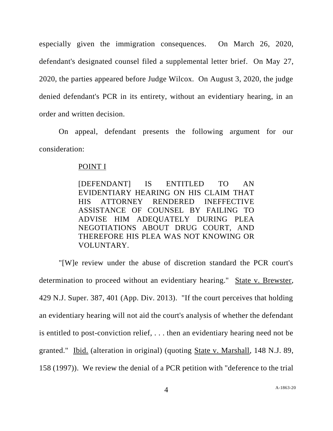especially given the immigration consequences. On March 26, 2020, defendant's designated counsel filed a supplemental letter brief. On May 27, 2020, the parties appeared before Judge Wilcox. On August 3, 2020, the judge denied defendant's PCR in its entirety, without an evidentiary hearing, in an order and written decision.

On appeal, defendant presents the following argument for our consideration:

## POINT I

[DEFENDANT] IS ENTITLED TO AN EVIDENTIARY HEARING ON HIS CLAIM THAT HIS ATTORNEY RENDERED INEFFECTIVE ASSISTANCE OF COUNSEL BY FAILING TO ADVISE HIM ADEQUATELY DURING PLEA NEGOTIATIONS ABOUT DRUG COURT, AND THEREFORE HIS PLEA WAS NOT KNOWING OR VOLUNTARY.

"[W]e review under the abuse of discretion standard the PCR court's determination to proceed without an evidentiary hearing." State v. Brewster, 429 N.J. Super. 387, 401 (App. Div. 2013). "If the court perceives that holding an evidentiary hearing will not aid the court's analysis of whether the defendant is entitled to post-conviction relief, . . . then an evidentiary hearing need not be granted." Ibid. (alteration in original) (quoting State v. Marshall, 148 N.J. 89, 158 (1997)). We review the denial of a PCR petition with "deference to the trial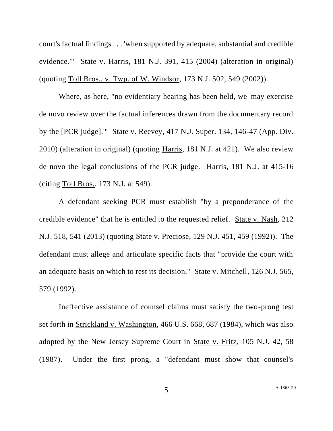court's factual findings . . . 'when supported by adequate, substantial and credible evidence.'" State v. Harris, 181 N.J. 391, 415 (2004) (alteration in original) (quoting Toll Bros., v. Twp. of W. Windsor, 173 N.J. 502, 549 (2002)).

Where, as here, "no evidentiary hearing has been held, we 'may exercise de novo review over the factual inferences drawn from the documentary record by the [PCR judge].'" State v. Reevey, 417 N.J. Super. 134, 146-47 (App. Div. 2010) (alteration in original) (quoting Harris, 181 N.J. at 421). We also review de novo the legal conclusions of the PCR judge. Harris, 181 N.J. at 415-16 (citing Toll Bros., 173 N.J. at 549).

A defendant seeking PCR must establish "by a preponderance of the credible evidence" that he is entitled to the requested relief. State v. Nash, 212 N.J. 518, 541 (2013) (quoting State v. Preciose, 129 N.J. 451, 459 (1992)). The defendant must allege and articulate specific facts that "provide the court with an adequate basis on which to rest its decision." State v. Mitchell, 126 N.J. 565, 579 (1992).

Ineffective assistance of counsel claims must satisfy the two-prong test set forth in Strickland v. Washington, 466 U.S. 668, 687 (1984), which was also adopted by the New Jersey Supreme Court in State v. Fritz, 105 N.J. 42, 58 (1987). Under the first prong, a "defendant must show that counsel's

5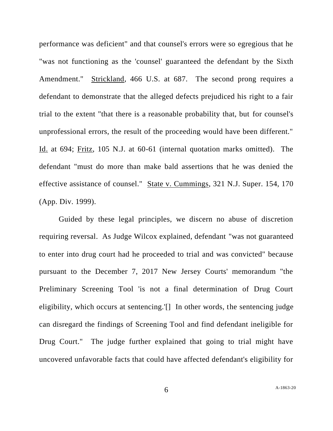performance was deficient" and that counsel's errors were so egregious that he "was not functioning as the 'counsel' guaranteed the defendant by the Sixth Amendment." Strickland, 466 U.S. at 687. The second prong requires a defendant to demonstrate that the alleged defects prejudiced his right to a fair trial to the extent "that there is a reasonable probability that, but for counsel's unprofessional errors, the result of the proceeding would have been different." Id. at 694; Fritz, 105 N.J. at 60-61 (internal quotation marks omitted). The defendant "must do more than make bald assertions that he was denied the effective assistance of counsel." State v. Cummings, 321 N.J. Super. 154, 170 (App. Div. 1999).

Guided by these legal principles, we discern no abuse of discretion requiring reversal. As Judge Wilcox explained, defendant "was not guaranteed to enter into drug court had he proceeded to trial and was convicted" because pursuant to the December 7, 2017 New Jersey Courts' memorandum "the Preliminary Screening Tool 'is not a final determination of Drug Court eligibility, which occurs at sentencing.'[] In other words, the sentencing judge can disregard the findings of Screening Tool and find defendant ineligible for Drug Court." The judge further explained that going to trial might have uncovered unfavorable facts that could have affected defendant's eligibility for